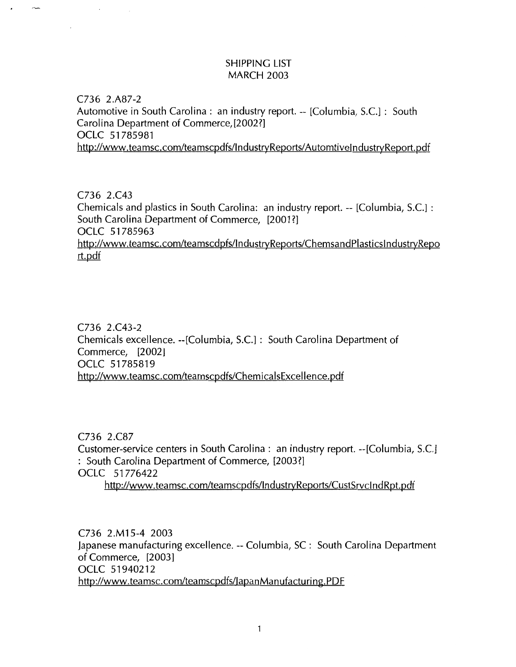# SHIPPING LIST MARCH 2003

C736 2.A87-2 Automotive in South Carolina : an industry report. -- [Columbia, S.C.] : South Carolina Department of Commerce,[2002?] OCLC 51785981 http://www.teamsc.com/teamscpdfs/lndustryReports/AutomtivelndustryReport.pdf

C736 2.C43 Chemicals and plastics in South Carolina: an industry report. -- [Columbia, S.C.] : South Carolina Department of Commerce, [2001?] OCLC 51 785963 http://www.teamsc.com/teamscdpfs/lndustryReports/ChemsandPiasticslndustryRepo rt.pdf

C736 2.C43-2 Chemicals excellence. --[Columbia, S.C.] : South Carolina Department of Commerce, [2002] OCLC 51785819 http://www.teamsc.com/teamscpdfs/ChemicalsExcellence.pdf

C736 2.C87 Customer-service centers in South Carolina: an industry report. --[Columbia, S.C.] : South Carolina Department of Commerce, [2003?] OCLC 51 776422 http://www.teamsc.com/teamscpdfs/lndustryReports/CustSrvclndRpt.pdf

C736 2.M15-4 2003 japanese manufacturing excellence. --Columbia, SC: South Carolina Department of Commerce, [2003] OCLC 51940212 http://www.teamsc.com/teamscpdfs/lapanManufacturing.PDF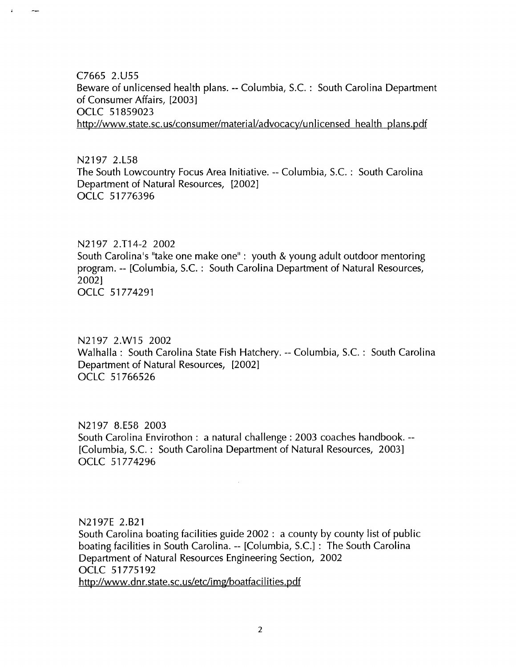C7665 2.U55 Beware of unlicensed health plans.-- Columbia, S.C. : South Carolina Department of Consumer Affairs, [2003] OCLC 51859023 http://www.state.sc.us/consumer/material/advocacy/unlicensed health plans.pdf

N2197 2.L58 The South Lowcountry Focus Area Initiative. --Columbia, S.C. : South Carolina Department of Natural Resources, [2002] OCLC 51776396

### N2197 2.T14-2 2002

South Carolina's "take one make one" : youth & young adult outdoor mentoring program.-- [Columbia, S.C. : South Carolina Department of Natural Resources, 2002] OCLC 51774291

N2197 2.W15 2002 Walhalla: South Carolina State Fish Hatchery.-- Columbia, S.C. : South Carolina Department of Natural Resources, [2002] OCLC 51766526

N2197 8.E58 2003 South Carolina Envirothon : a natural challenge: 2003 coaches handbook.-- [Columbia, S.C. : South Carolina Department of Natural Resources, 2003] OCLC 51774296

N2197E 2.821 South Carolina boating facilities guide 2002 : a county by county list of public boating facilities in South Carolina. -- [Columbia, S.C.] : The South Carolina Department of Natural Resources Engineering Section, 2002 OCLC 51775192 http://www.dnr.state.sc.us/etc/img/boatfacilities.pdf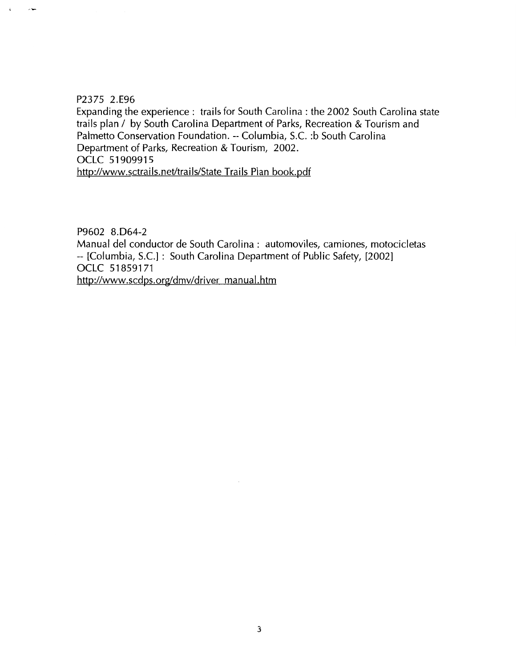### P2375 2.E96

Expanding the experience: trails for South Carolina: the 2002 South Carolina state trails plan / by South Carolina Department of Parks, Recreation & Tourism and Palmetto Conservation Foundation. --Columbia, S.C. :b South Carolina Department of Parks, Recreation & Tourism, 2002. OCLC 51909915 http://www.sctrails.net/trails/State Trails Plan book.pdf

P9602 8.D64-2

Manual del conductor de South Carolina: automoviles, camiones, motocicletas -- [Columbia, S.C.] : South Carolina Department of Public Safety, [2002] OCLC 51859171 http://www.scdps.org/dmv/driver manual.htm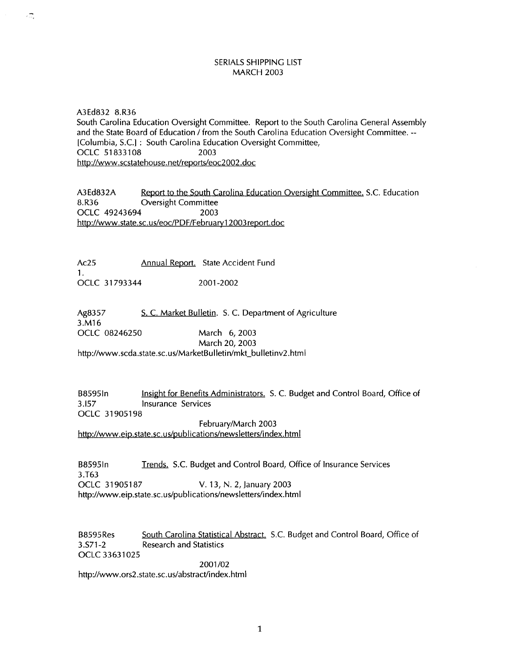#### SERIALS SHIPPING LIST MARCH 2003

A3Ed832 8.R36 South Carolina Education Oversight Committee. Report to the South Carolina General Assembly and the State Board of Education / from the South Carolina Education Oversight Committee. --[Columbia, S.C.] : South Carolina Education Oversight Committee, OCLC 51833108 2003 http://www.scstatehouse.net/reports/eoc2002.doc

A3Ed832A Report to the South Carolina Education Oversight Committee. S.C. Education 8.R36 Oversight Committee OCLC 49243694 2003 http://www.state.sc.us/eoc/PDF/February12003report.doc

Ac25 Annual Report. State Accident Fund 1. OCLC 31 793344 2001-2002

гΞ,

Ag8357 3.M16 S. C. Market Bulletin. S. C. Department of Agriculture OCLC 08246250 March 6, 2003 March 20, 2003

http://www.scda.state.sc.us/MarketBulletin/mkt\_bulletinv2.html

B8595In Insight for Benefits Administrators. S. C. Budget and Control Board, Office of 3.157 Insurance Services OCLC 31905198

February/March 2003

http://www.eip.state.sc.us/publications/newsletters/index.html

B85951n Trends. S.C. Budget and Control Board, Office of Insurance Services 3.T63 OCLC 31905187 V. 13, N. 2, January 2003 http://www.eip.state.sc.us/publications/newsletters/index.html

B8595Res South Carolina Statistical Abstract. S.C. Budget and Control Board, Office of 3.S71-2 Research and Statistics OCLC 33631025 2001/02

http://www.ors2.state.sc.us/abstract/index.html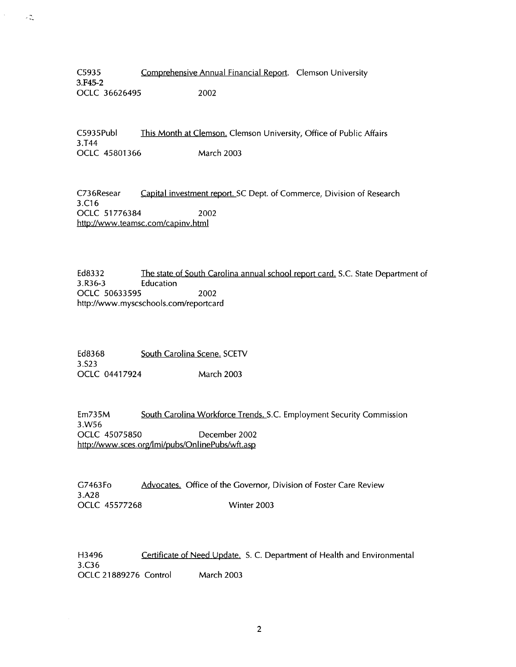C5935 Comprehensive Annual Financial Report. Clemson University 3.F45-2 OCLC 36626495 2002

C5935Publ This Month at Clemson. Clemson University, Office of Public Affairs 3.T44 OCLC 45801366 March 2003

C736Resear Capital investment report. SC Dept. of Commerce, Division of Research 3.C16 OCLC 51776384 2002 http://www.teamsc.com/capinv.html

Ed8332 The state of South Carolina annual school report card. S.C. State Department of 3.R36-3 Education OCLC 50633595 2002 http://www.myscschools.com/reportcard

Ed8368 South Carolina Scene. SCETV 3.S23 OCLC 04417924 March 2003

Em735M South Carolina Workforce Trends. S.C. Employment Security Commission 3.W56 OCLC 45075850 December 2002 http://www.sces.org/lmi/pubs/OnlinePubs/wft.asp

G7463Fo Advocates. Office of the Governor, Division of Foster Care Review 3.A28 OCLC 45577268 Winter 2003

H3496 **Certificate of Need Update.** S. C. Department of Health and Environmental 3.C36 OCLC 21889276 Control March 2003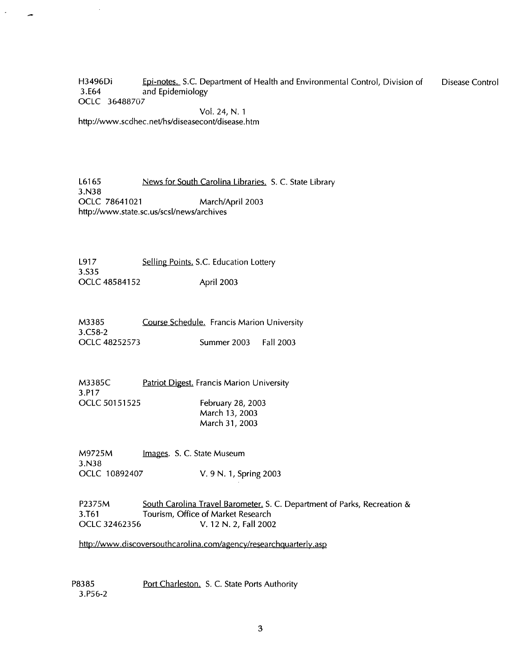H3496Di Epi-notes. S.C. Department of Health and Environmental Control, Division of 3.E64 and Epidemiology OCLC 36488707 Disease Control

Vol. 24, N. 1 http://www.scdhec.net/hs/diseasecont/disease.htm

L6165 News for South Carolina Libraries. S. C. State Library 3.N38 OCLC 78641021 March/April 2003 http://www.state.sc.us/scsl/news/archives

L917 3.535 OCLC 48584152 Selling Points. S.C. Education Lottery April 2003

M3385 3.C58-2 OCLC 48252573 Course Schedule. Francis Marion University Summer 2003 Fall 2003

M3385C 3.P17 OCLC 50151525 **Patriot Digest. Francis Marion University** February 28, 2003 March 13, 2003 March 31, 2003

M9725M 3.N38 Images. S. C. State Museum OCLC 10892407 V. 9 N. 1, Spring 2003

P2375M South Carolina Travel Barometer. S. C. Department of Parks, Recreation & 3.T61 Tourism, Office of Market Research OCLC 32462356 V. 12 N. 2, Fall 2002

http://www.discoversouthcarolina.com/agency/researchquarterly.asp

P8385 3.P56-2 Port Charleston. S. C. State Ports Authority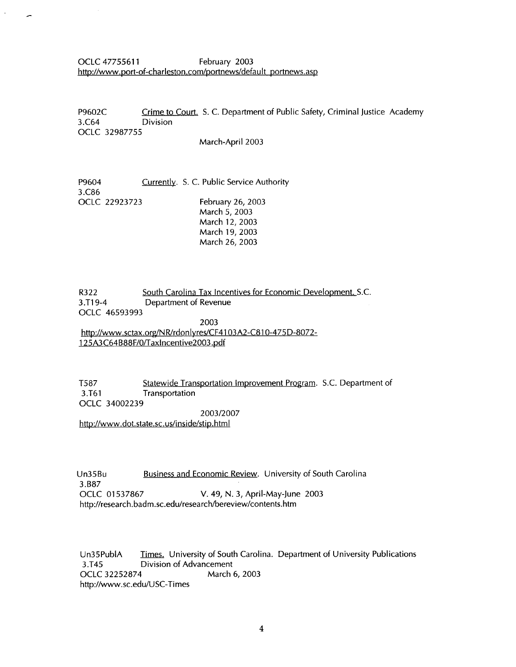OCLC 47755611 February 2003 http://www.port-of-charleston.com/portnews/default portnews.asp

P9602C Crime to Court. S. C. Department of Public Safety, Criminal Justice Academy 3.C64 Division OCLC 32987755

March-April 2003

P9604 3.C86 Currently. S. C. Public Service Authority OCLC 22923723 February 26, 2003 March 5, 2003 March 12, 2003 March 19, 2003 March 26, 2003

R322 South Carolina Tax Incentives for Economic Development. S.C. 3.T19-4 Department of Revenue OCLC 46593993 2003 http://www.sctax.org/NR/rdonlyres/CF4103A2-C810-475D-8072-125A3C64B88F/0/Taxlncentive2003.pdf

T587 Statewide Transportation Improvement Program. S.C. Department of 3.T61 Transportation OCLC 34002239

2003/2007

http://www.dot.state.sc.us/inside/stip.html

Un35Bu Business and Economic Review. University of South Carolina 3.B87<br>OCLC 01537867 V. 49, N. 3, April-May-June 2003 http://research.badm.sc.edu/research/bereview/contents.htm

Un35PubiA Times. University of South Carolina. Department of University Publications 3.T45 Division of Advancement OCLC 32252874 March 6, 2003 http://www.sc.edu/USC-Times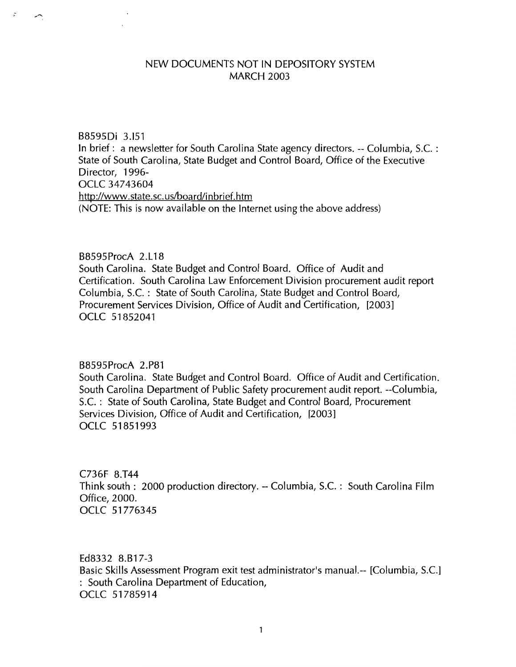### NEW DOCUMENTS NOT IN DEPOSITORY SYSTEM MARCH 2003

B8595Di 3.151

Þ

In brief: a newsletter for South Carolina State agency directors. --Columbia, S.C. : State of South Carolina, State Budget and Control Board, Office of the Executive Director, 1996- 0CLC 347 43604 http://www.state.sc.us/board/inbrief.htm (NOTE: This is now available on the Internet using the above address)

## B8595ProcA 2.L18

South Carolina. State Budget and Control Board. Office of Audit and Certification. South Carolina Law Enforcement Division procurement audit report Columbia, S.C. : State of South Carolina, State Budget and Control Board, Procurement Services Division, Office of Audit and Certification, [2003] OCLC 51852041

### B8595ProcA 2.P81

South Carolina. State Budget and Control Board. Office of Audit and Certification. South Carolina Department of Public Safety procurement audit report. --Columbia, S.C. : State of South Carolina, State Budget and Control Board, Procurement Services Division, Office of Audit and Certification, [2003] OCLC 51851993

C736F 8.T44 Think south : 2000 production directory.-- Columbia, S.C. : South Carolina Film Office, 2000. OCLC 51776345

Ed8332 8.B17-3 Basic Skills Assessment Program exit test administrator's manual.-- [Columbia, S.C.] : South Carolina Department of Education, OCLC 51785914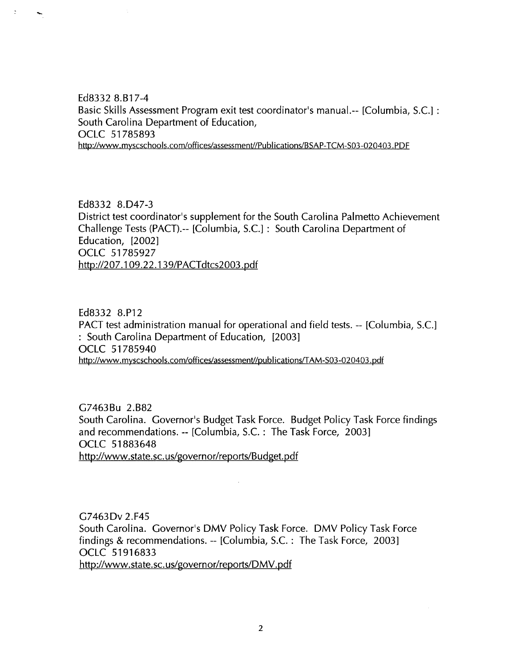Ed8332 8.B17-4 Basic Skills Assessment Program exit test coordinator's manual.-- [Columbia, S.C.] : South Carolina Department of Education, OCLC 51785893 http://www.myscschools.com/offices/assessment//Publications/BSAP-TCM-S03-020403.PDF

Ed8332 8.047-3 District test coordinator's supplement for the South Carolina Palmetto Achievement Challenge Tests (PACT).-- [Columbia, S.C.] : South Carolina Department of Education, [2002] OCLC 51785927 http://207.1 09.22.139/PACTdtcs2003.pdf

Ed8332 8.P12 PACT test administration manual for operational and field tests.-- [Columbia, S.C.] : South Carolina Department of Education, [2003] OCLC 51 785940 http://www.myscschools.com/offices/assessment//publications/TAM-S03-020403.pdf

G7463Bu 2.B82 South Carolina. Governor's Budget Task Force. Budget Policy Task Force findings and recommendations. -- [Columbia, S.C. : The Task Force, 2003] OCLC 51883648 http://www.state.sc.us/governor/reports/Budget.pdf

G7463Dv 2.F45 South Carolina. Governor's DMV Policy Task Force. DMV Policy Task Force findings & recommendations. -- [Columbia, S.C. : The Task Force, 2003] OCLC 51916833 http://www.state.sc.us/governor/reports/DMV.pdf